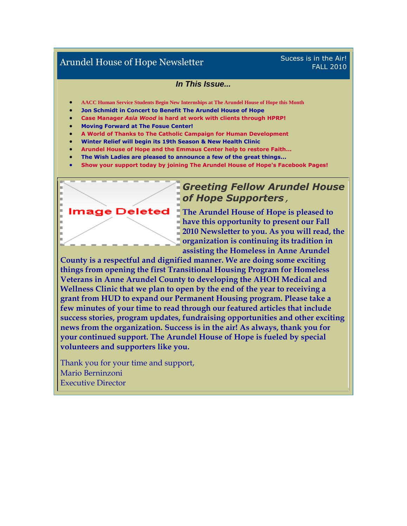## Arundel House of Hope Newsletter Sucess is in the Air!

# FALL 2010

#### *In This Issue...*

- **AACC Human Service Students Begin New Internships at The Arundel House of Hope this Month**
- **Jon Schmidt in Concert to Benefit The Arundel House of Hope**
- **Case Manager** *Asia Wood* **is hard at work with clients through HPRP!**
- **Moving Forward at The Fosue Center!**
- **A World of Thanks to The Catholic Campaign for Human Development**
- **Winter Relief will begin its 19th Season & New Health Clinic**
- **Arundel House of Hope and the Emmaus Center help to restore Faith...**
- **The Wish Ladies are pleased to announce a few of the great things...**
- **Show your support today by joining The Arundel House of Hope's Facebook Pages!**



## *Greeting Fellow Arundel House of Hope Supporters,*

**The Arundel House of Hope is pleased to have this opportunity to present our Fall 2010 Newsletter to you. As you will read, the organization is continuing its tradition in assisting the Homeless in Anne Arundel** 

**County is a respectful and dignified manner. We are doing some exciting things from opening the first Transitional Housing Program for Homeless Veterans in Anne Arundel County to developing the AHOH Medical and Wellness Clinic that we plan to open by the end of the year to receiving a grant from HUD to expand our Permanent Housing program. Please take a few minutes of your time to read through our featured articles that include success stories, program updates, fundraising opportunities and other exciting news from the organization. Success is in the air! As always, thank you for your continued support. The Arundel House of Hope is fueled by special volunteers and supporters like you.**

Thank you for your time and support, Mario Berninzoni Executive Director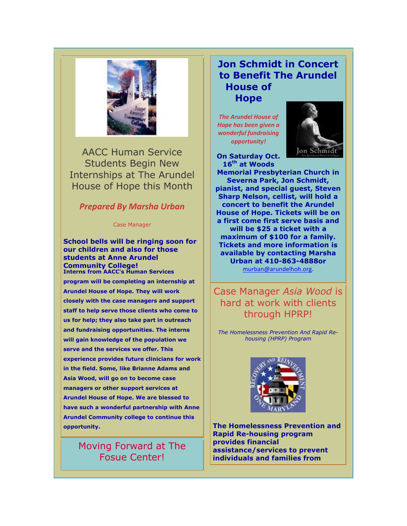

AACC Human Service Students Begin New Internships at The Arundel House of Hope this Month

#### *Prepared By Marsha Urban*

Case Manager

**School bells will be ringing soon for our children and also for those students at Anne Arundel Community College! Interns from AACC's Human Services program will be completing an internship at Arundel House of Hope. They will work closely with the case managers and support staff to help serve those clients who come to us for help; they also take part in outreach and fundraising opportunities. The interns will gain knowledge of the population we serve and the services we offer. This experience provides future clinicians for work in the field. Some, like Brianne Adams and Asia Wood, will go on to become case managers or other support services at Arundel House of Hope. We are blessed to have such a wonderful partnership with Anne Arundel Community college to continue this opportunity.**

## Moving Forward at The Fosue Center!

#### **Jon Schmidt in Concert to Benefit The Arundel House of Hope**

*The Arundel House of Hope has been given a wonderful fundraising opportunity!*



**On Saturday Oct. 16th at Woods** 

**Memorial Presbyterian Church in Severna Park, Jon Schmidt, pianist, and special guest, Steven Sharp Nelson, cellist, will hold a concert to benefit the Arundel House of Hope. Tickets will be on a first come first serve basis and will be \$25 a ticket with a maximum of \$100 for a family. Tickets and more information is available by contacting Marsha Urban at 410-863-4888or** [murban@arundelhoh.org.](mailto:murban@arundelhoh.org) 

Case Manager *Asia Wood* is hard at work with clients through HPRP!

*The Homelessness Prevention And Rapid Rehousing (HPRP) Program*



**The Homelessness Prevention and Rapid Re-housing program provides financial assistance/services to prevent individuals and families from**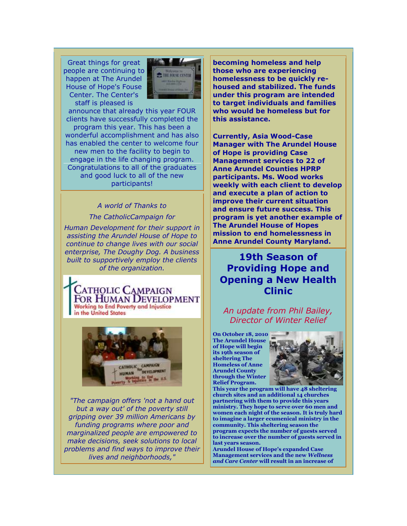Great things for great people are continuing to happen at The Arundel House of Hope's Fouse Center. The Center's staff is pleased is



announce that already this year FOUR clients have successfully completed the program this year. This has been a wonderful accomplishment and has also has enabled the center to welcome four new men to the facility to begin to engage in the life changing program. Congratulations to all of the graduates and good luck to all of the new participants!

> *A world of Thanks to The CatholicCampaign for*

*Human Development for their support in assisting the Arundel House of Hope to continue to change lives with our social enterprise, The Doughy Dog. A business built to supportively employ the clients of the organization.* 

**LATHOLIC CAMPAIGN** FOR HUMAN DEVELOPMENT **Working to End Poverty and Injustice** in the United States



*"The campaign offers 'not a hand out but a way out' of the poverty still gripping over 39 million Americans by funding programs where poor and marginalized people are empowered to make decisions, seek solutions to local problems and find ways to improve their lives and neighborhoods,"*

**becoming homeless and help those who are experiencing homelessness to be quickly rehoused and stabilized. The funds under this program are intended to target individuals and families who would be homeless but for this assistance.**

**Currently, Asia Wood-Case Manager with The Arundel House of Hope is providing Case Management services to 22 of Anne Arundel Counties HPRP participants. Ms. Wood works weekly with each client to develop and execute a plan of action to improve their current situation and ensure future success. This program is yet another example of The Arundel House of Hopes mission to end homelessness in Anne Arundel County Maryland.**

## **19th Season of Providing Hope and Opening a New Health Clinic**

*An update from Phil Bailey, Director of Winter Relief*

**On October 18, 2010 The Arundel House of Hope will begin its 19th season of sheltering The Homeless of Anne Arundel County through the Winter Relief Program.** 



**This year the program will have 48 sheltering church sites and an additional 14 churches partnering with them to provide this years ministry. They hope to serve over 60 men and women each night of the season. It is truly hard to imagine a larger ecumenical ministry in the community. This sheltering season the program expects the number of guests served to increase over the number of guests served in last years season.** 

**Arundel House of Hope's expanded Case Management services and the new** *Wellness and Care Center* **will result in an increase of**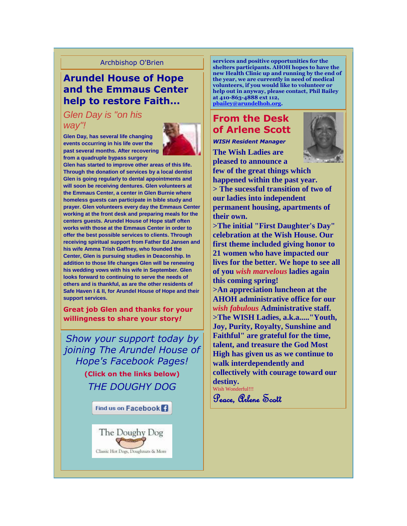#### Archbishop O'Brien

## **Arundel House of Hope and the Emmaus Center help to restore Faith...**

#### *Glen Day is "on his way"!*

**Glen Day, has several life changing events occurring in his life over the past several months. After recovering from a quadruple bypass surgery** 



**Glen has started to improve other areas of this life. Through the donation of services by a local dentist Glen is going regularly to dental appointments and will soon be receiving dentures. Glen volunteers at the Emmaus Center, a center in Glen Burnie where homeless guests can participate in bible study and prayer. Glen volunteers every day the Emmaus Center working at the front desk and preparing meals for the centers guests. Arundel House of Hope staff often works with those at the Emmaus Center in order to offer the best possible services to clients. Through receiving spiritual support from Father Ed Jansen and his wife Amma Trish Gaffney, who founded the Center, Glen is pursuing studies in Deaconship. In addition to those life changes Glen will be renewing his wedding vows with his wife in September. Glen looks forward to continuing to serve the needs of others and is thankful, as are the other residents of Safe Haven I & II, for Arundel House of Hope and their support services.**

**Great job Glen and thanks for your willingness to share your story***!*

*Show your support today by joining The Arundel House of Hope's Facebook Pages!* **(Click on the links below)**  *THE DOUGHY DOG* 

Find us on Facebook<sup>1</sup>



**services and positive opportunities for the shelters participants. AHOH hopes to have the new Health Clinic up and running by the end of the year, we are currently in need of medical volunteers, if you would like to volunteer or help out in anyway, please contact, Phil Bailey at 410-863-4888 ext 112, [pbailey@arundelhoh.org.](mailto:pbailey@arundelhoh.org)**

## **From the Desk of Arlene Scott**

*WISH Resident Manager*

**The Wish Ladies are pleased to announce a** 



**few of the great things which happened within the past year. > The sucessful transition of two of our ladies into independent permanent housing, apartments of their own.**

**>The initial "First Daughter's Day" celebration at the Wish House. Our first theme included giving honor to 21 women who have impacted our lives for the better. We hope to see all of you** *wish marvelous* **ladies again this coming spring!**

**>An appreciation luncheon at the AHOH administrative office for our** *wish fabulous* **Administrative staff. >The WISH Ladies, a.k.a....."Youth, Joy, Purity, Royalty, Sunshine and Faithful" are grateful for the time, talent, and treasure the God Most High has given us as we continue to walk interdependently and collectively with courage toward our destiny.** Wish Wonderful!!!

Peace, Orlene Scott